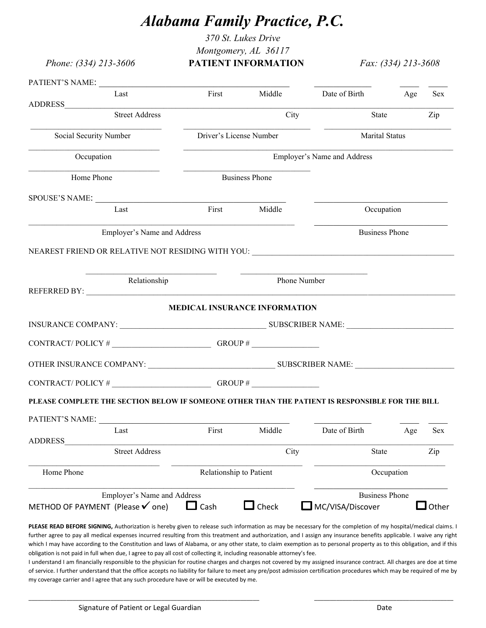## *Alabama Family Practice, P.C.*

*370 St. Lukes Drive Montgomery, AL 36117* 

*Phone: (334) 213-3606* **PATIENT INFORMATION** *Fax: (334) 213-3608*

|                              | PATIENT'S NAME:                                                                                 |                         |                               |                                    |            |            |  |
|------------------------------|-------------------------------------------------------------------------------------------------|-------------------------|-------------------------------|------------------------------------|------------|------------|--|
|                              | Last                                                                                            | First                   | Middle                        | Date of Birth                      | Age        | <b>Sex</b> |  |
|                              | <b>Street Address</b>                                                                           |                         | City                          | State                              |            | Zip        |  |
| Social Security Number       |                                                                                                 | Driver's License Number |                               | <b>Marital Status</b>              |            |            |  |
|                              | Occupation                                                                                      |                         | Employer's Name and Address   |                                    |            |            |  |
| Home Phone                   |                                                                                                 | <b>Business Phone</b>   |                               |                                    |            |            |  |
|                              | SPOUSE'S NAME:                                                                                  |                         |                               |                                    |            |            |  |
|                              | Last                                                                                            | First                   | Middle                        | Occupation                         |            |            |  |
|                              | Employer's Name and Address                                                                     |                         |                               | <b>Business Phone</b>              |            |            |  |
|                              | NEAREST FRIEND OR RELATIVE NOT RESIDING WITH YOU: _______________________________               |                         |                               |                                    |            |            |  |
|                              |                                                                                                 |                         |                               |                                    |            |            |  |
|                              | Relationship                                                                                    |                         | Phone Number                  |                                    |            |            |  |
|                              |                                                                                                 |                         | MEDICAL INSURANCE INFORMATION |                                    |            |            |  |
|                              |                                                                                                 |                         |                               |                                    |            |            |  |
|                              |                                                                                                 |                         |                               |                                    |            |            |  |
|                              |                                                                                                 |                         |                               |                                    |            |            |  |
|                              |                                                                                                 |                         |                               |                                    |            |            |  |
|                              |                                                                                                 |                         |                               |                                    |            |            |  |
|                              |                                                                                                 |                         |                               |                                    |            |            |  |
|                              | PLEASE COMPLETE THE SECTION BELOW IF SOMEONE OTHER THAN THE PATIENT IS RESPONSIBLE FOR THE BILL |                         |                               |                                    |            |            |  |
|                              |                                                                                                 |                         |                               |                                    |            |            |  |
|                              | <b>Last</b>                                                                                     |                         |                               | First Middle Date of Birth Age Sex |            |            |  |
|                              | <b>Street Address</b>                                                                           |                         | City                          | State                              |            | Zip        |  |
| <b>ADDRESS</b><br>Home Phone |                                                                                                 | Relationship to Patient |                               |                                    | Occupation |            |  |

**PLEASE READ BEFORE SIGNING,** Authorization is hereby given to release such information as may be necessary for the completion of my hospital/medical claims. I further agree to pay all medical expenses incurred resulting from this treatment and authorization, and I assign any insurance benefits applicable. I waive any right which I may have according to the Constitution and laws of Alabama, or any other state, to claim exemption as to personal property as to this obligation, and if this obligation is not paid in full when due, I agree to pay all cost of collecting it, including reasonable attorney's fee.

I understand I am financially responsible to the physician for routine charges and charges not covered by my assigned insurance contract. All charges are doe at time of service. I further understand that the office accepts no liability for failure to meet any pre/post admission certification procedures which may be required of me by my coverage carrier and I agree that any such procedure have or will be executed by me.

 $\_$  ,  $\_$  ,  $\_$  ,  $\_$  ,  $\_$  ,  $\_$  ,  $\_$  ,  $\_$  ,  $\_$  ,  $\_$  ,  $\_$  ,  $\_$  ,  $\_$  ,  $\_$  ,  $\_$  ,  $\_$  ,  $\_$  ,  $\_$  ,  $\_$  ,  $\_$  ,  $\_$  ,  $\_$  ,  $\_$  ,  $\_$  ,  $\_$  ,  $\_$  ,  $\_$  ,  $\_$  ,  $\_$  ,  $\_$  ,  $\_$  ,  $\_$  ,  $\_$  ,  $\_$  ,  $\_$  ,  $\_$  ,  $\_$  ,